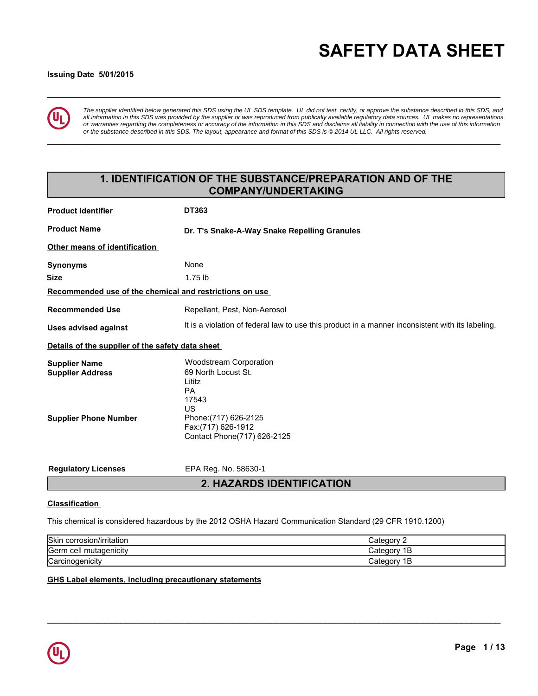# **\_\_\_\_\_\_\_\_\_\_\_\_\_\_\_\_\_\_\_\_\_\_\_\_\_\_\_\_\_\_\_\_\_\_\_\_\_\_\_\_\_\_\_\_\_\_\_\_\_\_\_\_\_\_\_\_\_\_\_\_\_\_\_\_\_\_\_\_\_\_\_\_\_\_\_\_\_\_\_\_\_\_\_\_\_\_\_\_\_\_\_\_\_ SAFETY DATA SHEET**

## **Issuing Date 5/01/2015**



*The supplier identified below generated this SDS using the UL SDS template. UL did not test, certify, or approve the substance described in this SDS, and all information in this SDS was provided by the supplier or was reproduced from publically available regulatory data sources. UL makes no representations or warranties regarding the completeness or accuracy of the information in this SDS and disclaims all liability in connection with the use of this information or the substance described in this SDS. The layout, appearance and format of this SDS is © 2014 UL LLC. All rights reserved.*

**\_\_\_\_\_\_\_\_\_\_\_\_\_\_\_\_\_\_\_\_\_\_\_\_\_\_\_\_\_\_\_\_\_\_\_\_\_\_\_\_\_\_\_\_\_\_\_\_\_\_\_\_\_\_\_\_\_\_\_\_\_\_\_\_\_\_\_\_\_\_\_\_\_\_\_\_\_\_\_\_\_\_\_\_\_\_\_\_\_\_\_\_\_**

## **1. IDENTIFICATION OF THE SUBSTANCE/PREPARATION AND OF THE COMPANY/UNDERTAKING**

| <b>Product identifier</b>                                                       | DT363                                                                                                                                     |
|---------------------------------------------------------------------------------|-------------------------------------------------------------------------------------------------------------------------------------------|
| <b>Product Name</b>                                                             | Dr. T's Snake-A-Way Snake Repelling Granules                                                                                              |
| Other means of identification                                                   |                                                                                                                                           |
| <b>Synonyms</b>                                                                 | None                                                                                                                                      |
| <b>Size</b>                                                                     | $1.75$ lb                                                                                                                                 |
| Recommended use of the chemical and restrictions on use                         |                                                                                                                                           |
| <b>Recommended Use</b>                                                          | Repellant, Pest, Non-Aerosol                                                                                                              |
| <b>Uses advised against</b>                                                     | It is a violation of federal law to use this product in a manner inconsistent with its labeling.                                          |
| Details of the supplier of the safety data sheet                                |                                                                                                                                           |
| <b>Supplier Name</b><br><b>Supplier Address</b><br><b>Supplier Phone Number</b> | <b>Woodstream Corporation</b><br>69 North Locust St.<br>Lititz<br><b>PA</b><br>17543<br>US<br>Phone: (717) 626-2125<br>Fax:(717) 626-1912 |
| <b>Regulatory Licenses</b>                                                      | Contact Phone(717) 626-2125<br>EPA Reg. No. 58630-1<br>2. HAZARDS IDENTIFICATION                                                          |

## **Classification**

This chemical is considered hazardous by the 2012 OSHA Hazard Communication Standard (29 CFR 1910.1200)

| Skin corrosion/irritation  | ∵ategorvٽ       |
|----------------------------|-----------------|
| Germ<br>⊦cell mutaɑenıcıtv | В<br>∵ategorvٽ  |
| Carcinogenicity            | 1В<br>∵ategorvٽ |

\_\_\_\_\_\_\_\_\_\_\_\_\_\_\_\_\_\_\_\_\_\_\_\_\_\_\_\_\_\_\_\_\_\_\_\_\_\_\_\_\_\_\_\_\_\_\_\_\_\_\_\_\_\_\_\_\_\_\_\_\_\_\_\_\_\_\_\_\_\_\_\_\_\_\_\_\_\_\_\_\_\_\_\_\_\_\_\_\_\_\_\_\_

## **GHS Label elements, including precautionary statements**

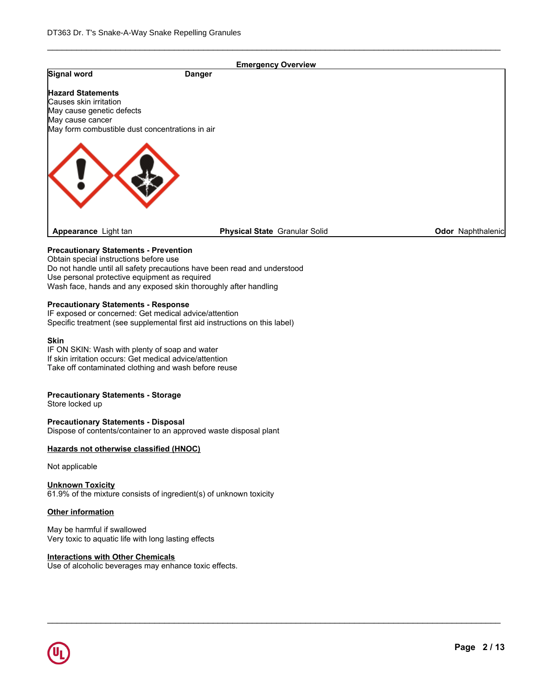|                                                                                                                                                                                                            | <b>Emergency Overview</b>                                                |                   |
|------------------------------------------------------------------------------------------------------------------------------------------------------------------------------------------------------------|--------------------------------------------------------------------------|-------------------|
| Signal word                                                                                                                                                                                                | <b>Danger</b>                                                            |                   |
| <b>Hazard Statements</b><br>Causes skin irritation<br>May cause genetic defects<br>May cause cancer<br>May form combustible dust concentrations in air                                                     |                                                                          |                   |
|                                                                                                                                                                                                            |                                                                          |                   |
| Appearance Light tan                                                                                                                                                                                       | Physical State Granular Solid                                            | Odor Naphthalenic |
| <b>Precautionary Statements - Prevention</b><br>Obtain special instructions before use<br>Use personal protective equipment as required<br>Wash face, hands and any exposed skin thoroughly after handling | Do not handle until all safety precautions have been read and understood |                   |
| <b>Precautionary Statements - Response</b><br>IF exposed or concerned: Get medical advice/attention<br>Specific treatment (see supplemental first aid instructions on this label)                          |                                                                          |                   |
| Skin<br>IF ON SKIN: Wash with plenty of soap and water<br>If skin irritation occurs: Get medical advice/attention<br>Take off contaminated clothing and wash before reuse                                  |                                                                          |                   |
| <b>Precautionary Statements - Storage</b><br>Store locked up                                                                                                                                               |                                                                          |                   |
| <b>Precautionary Statements - Disposal</b><br>Dispose of contents/container to an approved waste disposal plant                                                                                            |                                                                          |                   |
| Hazards not otherwise classified (HNOC)                                                                                                                                                                    |                                                                          |                   |
|                                                                                                                                                                                                            |                                                                          |                   |

\_\_\_\_\_\_\_\_\_\_\_\_\_\_\_\_\_\_\_\_\_\_\_\_\_\_\_\_\_\_\_\_\_\_\_\_\_\_\_\_\_\_\_\_\_\_\_\_\_\_\_\_\_\_\_\_\_\_\_\_\_\_\_\_\_\_\_\_\_\_\_\_\_\_\_\_\_\_\_\_\_\_\_\_\_\_\_\_\_\_\_\_\_

**Unknown Toxicity** 61.9% of the mixture consists of ingredient(s) of unknown toxicity

## **Other information**

May be harmful if swallowed Very toxic to aquatic life with long lasting effects

## **Interactions with Other Chemicals**

Use of alcoholic beverages may enhance toxic effects.

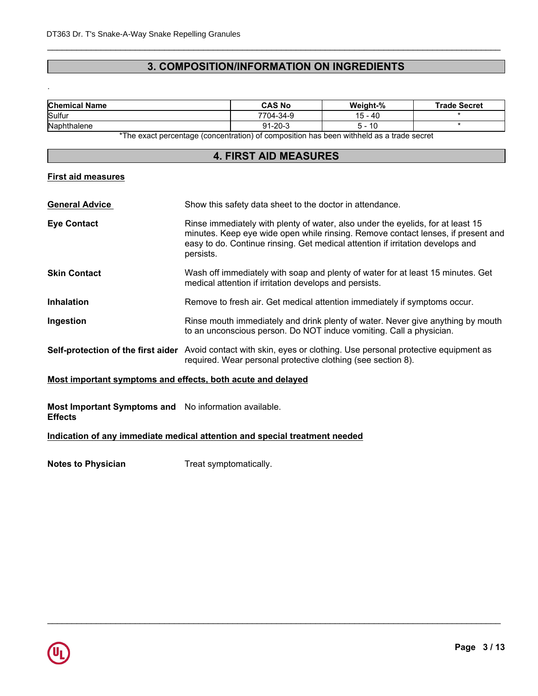## **3. COMPOSITION/INFORMATION ON INGREDIENTS**

\_\_\_\_\_\_\_\_\_\_\_\_\_\_\_\_\_\_\_\_\_\_\_\_\_\_\_\_\_\_\_\_\_\_\_\_\_\_\_\_\_\_\_\_\_\_\_\_\_\_\_\_\_\_\_\_\_\_\_\_\_\_\_\_\_\_\_\_\_\_\_\_\_\_\_\_\_\_\_\_\_\_\_\_\_\_\_\_\_\_\_\_\_

| <b>Chemical Name</b> | <b>CAS No</b>     | Weight-%     | <b>Trade Secret</b> |
|----------------------|-------------------|--------------|---------------------|
| Sulfur               | $7704 -$<br>-34-9 | $15 -$<br>40 |                     |
| Naphthalene          | $-20-$<br>ົ^ 1    | ιu           |                     |

\*The exact percentage (concentration) of composition has been withheld as a trade secret

## **4. FIRST AID MEASURES**

## **First aid measures**

.

| <b>General Advice</b>                                       | Show this safety data sheet to the doctor in attendance.                                                                                                                                                                                                           |
|-------------------------------------------------------------|--------------------------------------------------------------------------------------------------------------------------------------------------------------------------------------------------------------------------------------------------------------------|
| <b>Eye Contact</b>                                          | Rinse immediately with plenty of water, also under the eyelids, for at least 15<br>minutes. Keep eye wide open while rinsing. Remove contact lenses, if present and<br>easy to do. Continue rinsing. Get medical attention if irritation develops and<br>persists. |
| <b>Skin Contact</b>                                         | Wash off immediately with soap and plenty of water for at least 15 minutes. Get<br>medical attention if irritation develops and persists.                                                                                                                          |
| <b>Inhalation</b>                                           | Remove to fresh air. Get medical attention immediately if symptoms occur.                                                                                                                                                                                          |
| Ingestion                                                   | Rinse mouth immediately and drink plenty of water. Never give anything by mouth<br>to an unconscious person. Do NOT induce vomiting. Call a physician.                                                                                                             |
|                                                             | Self-protection of the first aider Avoid contact with skin, eyes or clothing. Use personal protective equipment as<br>required. Wear personal protective clothing (see section 8).                                                                                 |
| Most important symptoms and effects, both acute and delayed |                                                                                                                                                                                                                                                                    |
|                                                             |                                                                                                                                                                                                                                                                    |

\_\_\_\_\_\_\_\_\_\_\_\_\_\_\_\_\_\_\_\_\_\_\_\_\_\_\_\_\_\_\_\_\_\_\_\_\_\_\_\_\_\_\_\_\_\_\_\_\_\_\_\_\_\_\_\_\_\_\_\_\_\_\_\_\_\_\_\_\_\_\_\_\_\_\_\_\_\_\_\_\_\_\_\_\_\_\_\_\_\_\_\_\_

**Most Important Symptoms and** No information available. **Effects**

**Indication of any immediate medical attention and special treatment needed**

**Notes to Physician** Treat symptomatically.

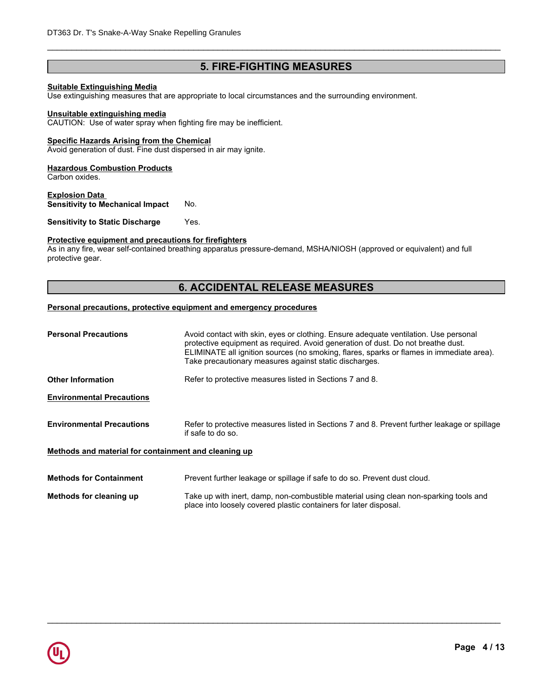## **5. FIRE-FIGHTING MEASURES**

\_\_\_\_\_\_\_\_\_\_\_\_\_\_\_\_\_\_\_\_\_\_\_\_\_\_\_\_\_\_\_\_\_\_\_\_\_\_\_\_\_\_\_\_\_\_\_\_\_\_\_\_\_\_\_\_\_\_\_\_\_\_\_\_\_\_\_\_\_\_\_\_\_\_\_\_\_\_\_\_\_\_\_\_\_\_\_\_\_\_\_\_\_

#### **Suitable Extinguishing Media**

Use extinguishing measures that are appropriate to local circumstances and the surrounding environment.

#### **Unsuitable extinguishing media**

CAUTION: Use of water spray when fighting fire may be inefficient.

#### **Specific Hazards Arising from the Chemical**

Avoid generation of dust. Fine dust dispersed in air may ignite.

#### **Hazardous Combustion Products**

Carbon oxides.

#### **Explosion Data Sensitivity to Mechanical Impact No.**

**Sensitivity to Static Discharge Yes.** 

#### **Protective equipment and precautions for firefighters**

As in any fire, wear self-contained breathing apparatus pressure-demand, MSHA/NIOSH (approved or equivalent) and full protective gear.

## **6. ACCIDENTAL RELEASE MEASURES**

#### **Personal precautions, protective equipment and emergency procedures**

| <b>Personal Precautions</b>                          | Avoid contact with skin, eyes or clothing. Ensure adequate ventilation. Use personal<br>protective equipment as required. Avoid generation of dust. Do not breathe dust.<br>ELIMINATE all ignition sources (no smoking, flares, sparks or flames in immediate area).<br>Take precautionary measures against static discharges. |
|------------------------------------------------------|--------------------------------------------------------------------------------------------------------------------------------------------------------------------------------------------------------------------------------------------------------------------------------------------------------------------------------|
| <b>Other Information</b>                             | Refer to protective measures listed in Sections 7 and 8.                                                                                                                                                                                                                                                                       |
| <b>Environmental Precautions</b>                     |                                                                                                                                                                                                                                                                                                                                |
| <b>Environmental Precautions</b>                     | Refer to protective measures listed in Sections 7 and 8. Prevent further leakage or spillage<br>if safe to do so.                                                                                                                                                                                                              |
| Methods and material for containment and cleaning up |                                                                                                                                                                                                                                                                                                                                |
| <b>Methods for Containment</b>                       | Prevent further leakage or spillage if safe to do so. Prevent dust cloud.                                                                                                                                                                                                                                                      |
| Methods for cleaning up                              | Take up with inert, damp, non-combustible material using clean non-sparking tools and<br>place into loosely covered plastic containers for later disposal.                                                                                                                                                                     |

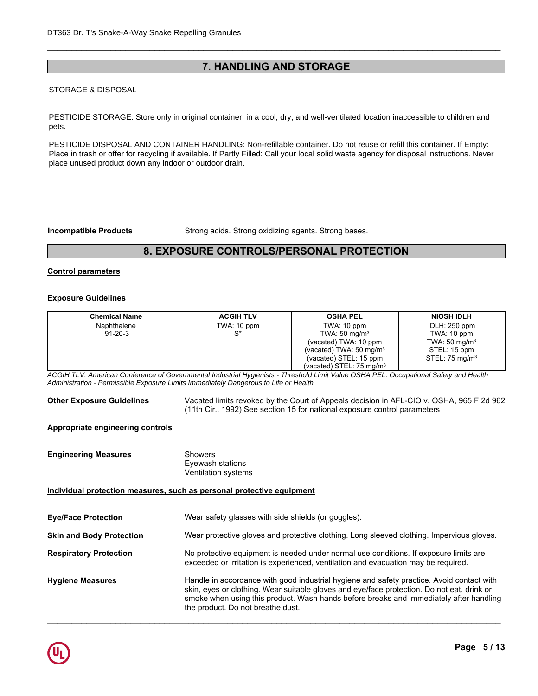## **7. HANDLING AND STORAGE**

\_\_\_\_\_\_\_\_\_\_\_\_\_\_\_\_\_\_\_\_\_\_\_\_\_\_\_\_\_\_\_\_\_\_\_\_\_\_\_\_\_\_\_\_\_\_\_\_\_\_\_\_\_\_\_\_\_\_\_\_\_\_\_\_\_\_\_\_\_\_\_\_\_\_\_\_\_\_\_\_\_\_\_\_\_\_\_\_\_\_\_\_\_

## **STORAGE & DISPOSAL**

**HANDLE STORAGE:** Store only in original container in a cool dry and well-ventilated location inaccessible to children and PESTICIDE STORAGE: Store only in original container, in a cool, dry, and well-ventilated location inaccessible to children and<br>nets pets.

PESTICIDE DISPOSAL AND CONTAINER HANDLING: Non-refillable container. Do not reuse or refill this container. If Empty: heat for a surface surface set  $\alpha$  is a set of the spark of the sparker of the spark  $\alpha$  surfaces. Nowell in the spark  $\alpha$  spark  $\alpha$  sparks. And  $\alpha$  is a spark-proof tools and  $\alpha$  is a spark-proof tools and  $\alpha$  is Place in trash or offer for recycling if available. If Partly Filled: Call your local solid waste agency for disposal instructions. Never<br>Place unused product down any indoor or outdoor drain place unused product down any indoor or outdoor drain.

**Incompatible Products** Strong acids. Strong oxidizing agents. Strong bases.

## **8. EXPOSURE CONTROLS/PERSONAL PROTECTION**

## **Control parameters**

#### **Exposure Guidelines**

| <b>Chemical Name</b> | <b>ACGIH TLV</b> | <b>OSHA PEL</b>                     | <b>NIOSH IDLH</b>         |
|----------------------|------------------|-------------------------------------|---------------------------|
| Naphthalene          | TWA: 10 ppm      | TWA: 10 ppm                         | IDLH: 250 ppm             |
| $91 - 20 - 3$        | c*               | TWA: $50 \text{ mg/m}^3$            | TWA: 10 ppm               |
|                      |                  | (vacated) TWA: 10 ppm               | TWA: $50 \text{ mg/m}^3$  |
|                      |                  | (vacated) TWA: $50 \text{ mg/m}^3$  | STEL: 15 ppm              |
|                      |                  | (vacated) STEL: 15 ppm              | STEL: $75 \text{ mg/m}^3$ |
|                      |                  | (vacated) STEL: $75 \text{ mg/m}^3$ |                           |

*ACGIH TLV: American Conference of Governmental Industrial Hygienists - Threshold Limit Value OSHA PEL: Occupational Safety and Health Administration - Permissible Exposure Limits Immediately Dangerous to Life or Health*

**Other Exposure Guidelines** Vacated limits revoked by the Court of Appeals decision in AFL-CIO v. OSHA, 965 F.2d 962 (11th Cir., 1992) See section 15 for national exposure control parameters

#### **Appropriate engineering controls**

| <b>Engineering Measures</b>                                           | <b>Showers</b><br>Eyewash stations<br>Ventilation systems                                                                                                                                                                                                                                                              |
|-----------------------------------------------------------------------|------------------------------------------------------------------------------------------------------------------------------------------------------------------------------------------------------------------------------------------------------------------------------------------------------------------------|
| Individual protection measures, such as personal protective equipment |                                                                                                                                                                                                                                                                                                                        |
| <b>Eye/Face Protection</b>                                            | Wear safety glasses with side shields (or goggles).                                                                                                                                                                                                                                                                    |
| <b>Skin and Body Protection</b>                                       | Wear protective gloves and protective clothing. Long sleeved clothing. Impervious gloves.                                                                                                                                                                                                                              |
| <b>Respiratory Protection</b>                                         | No protective equipment is needed under normal use conditions. If exposure limits are<br>exceeded or irritation is experienced, ventilation and evacuation may be required.                                                                                                                                            |
| <b>Hygiene Measures</b>                                               | Handle in accordance with good industrial hygiene and safety practice. Avoid contact with<br>skin, eyes or clothing. Wear suitable gloves and eye/face protection. Do not eat, drink or<br>smoke when using this product. Wash hands before breaks and immediately after handling<br>the product. Do not breathe dust. |

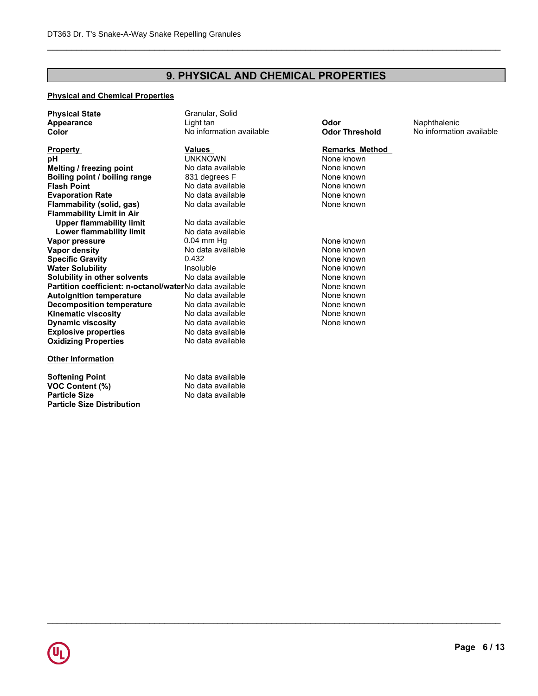# **9. PHYSICAL AND CHEMICAL PROPERTIES**

## **Physical and Chemical Properties**

| <b>Physical State</b>                                   | Granular, Solid          |                       |                          |
|---------------------------------------------------------|--------------------------|-----------------------|--------------------------|
| <b>Appearance</b>                                       | Light tan                | Odor                  | Naphthalenic             |
| Color                                                   | No information available | <b>Odor Threshold</b> | No information available |
| <b>Property</b>                                         | Values                   | <b>Remarks Method</b> |                          |
| рH                                                      | <b>UNKNOWN</b>           | None known            |                          |
| Melting / freezing point                                | No data available        | None known            |                          |
| Boiling point / boiling range                           | 831 degrees F            | None known            |                          |
| <b>Flash Point</b>                                      | No data available        | None known            |                          |
| <b>Evaporation Rate</b>                                 | No data available        | None known            |                          |
| Flammability (solid, gas)                               | No data available        | None known            |                          |
| <b>Flammability Limit in Air</b>                        |                          |                       |                          |
| <b>Upper flammability limit</b>                         | No data available        |                       |                          |
| Lower flammability limit                                | No data available        |                       |                          |
| <b>Vapor pressure</b>                                   | $0.04$ mm Hg             | None known            |                          |
| <b>Vapor density</b>                                    | No data available        | None known            |                          |
| <b>Specific Gravity</b>                                 | 0.432                    | None known            |                          |
| <b>Water Solubility</b>                                 | Insoluble                | None known            |                          |
| Solubility in other solvents                            | No data available        | None known            |                          |
| Partition coefficient: n-octanol/waterNo data available |                          | None known            |                          |
| <b>Autoignition temperature</b>                         | No data available        | None known            |                          |
| <b>Decomposition temperature</b>                        | No data available        | None known            |                          |
| <b>Kinematic viscosity</b>                              | No data available        | None known            |                          |
| <b>Dynamic viscosity</b>                                | No data available        | None known            |                          |
| <b>Explosive properties</b>                             | No data available        |                       |                          |
| <b>Oxidizing Properties</b>                             | No data available        |                       |                          |
| <b>Other Information</b>                                |                          |                       |                          |
| <b>Softening Point</b>                                  | No data available        |                       |                          |

**VOC Content (%)** No data available **Note that Content** (%) **Particle Size** No data available **Particle Size Distribution**

\_\_\_\_\_\_\_\_\_\_\_\_\_\_\_\_\_\_\_\_\_\_\_\_\_\_\_\_\_\_\_\_\_\_\_\_\_\_\_\_\_\_\_\_\_\_\_\_\_\_\_\_\_\_\_\_\_\_\_\_\_\_\_\_\_\_\_\_\_\_\_\_\_\_\_\_\_\_\_\_\_\_\_\_\_\_\_\_\_\_\_\_\_

## **Remarks Method**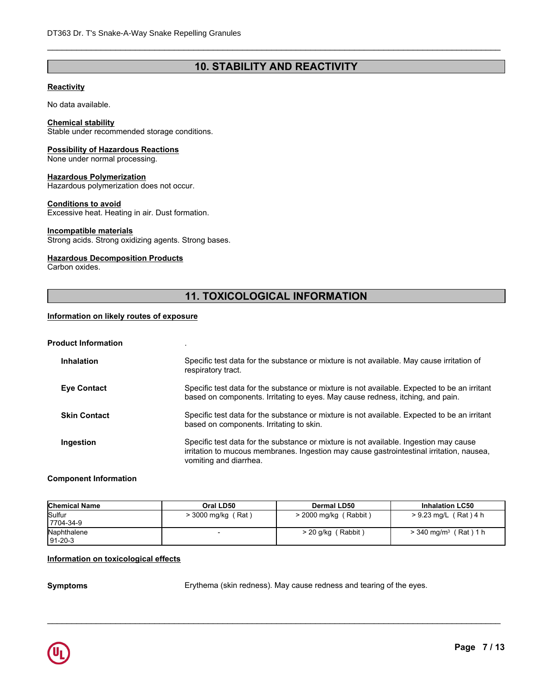## **10. STABILITY AND REACTIVITY**

\_\_\_\_\_\_\_\_\_\_\_\_\_\_\_\_\_\_\_\_\_\_\_\_\_\_\_\_\_\_\_\_\_\_\_\_\_\_\_\_\_\_\_\_\_\_\_\_\_\_\_\_\_\_\_\_\_\_\_\_\_\_\_\_\_\_\_\_\_\_\_\_\_\_\_\_\_\_\_\_\_\_\_\_\_\_\_\_\_\_\_\_\_

## **Reactivity**

No data available.

## **Chemical stability**

Stable under recommended storage conditions.

## **Possibility of Hazardous Reactions**

None under normal processing.

### **Hazardous Polymerization**

Hazardous polymerization does not occur.

## **Conditions to avoid**

Excessive heat. Heating in air. Dust formation.

## **Incompatible materials**

Strong acids. Strong oxidizing agents. Strong bases.

## **Hazardous Decomposition Products**

Carbon oxides.

## **11. TOXICOLOGICAL INFORMATION**

## **Information on likely routes of exposure**

#### **Product Information** .

| <b>Inhalation</b>   | Specific test data for the substance or mixture is not available. May cause irritation of<br>respiratory tract.                                                                                             |
|---------------------|-------------------------------------------------------------------------------------------------------------------------------------------------------------------------------------------------------------|
| <b>Eye Contact</b>  | Specific test data for the substance or mixture is not available. Expected to be an irritant<br>based on components. Irritating to eyes. May cause redness, itching, and pain.                              |
| <b>Skin Contact</b> | Specific test data for the substance or mixture is not available. Expected to be an irritant<br>based on components. Irritating to skin.                                                                    |
| Ingestion           | Specific test data for the substance or mixture is not available. Ingestion may cause<br>irritation to mucous membranes. Ingestion may cause gastrointestinal irritation, nausea,<br>vomiting and diarrhea. |

## **Component Information**

| <b>Chemical Name</b> | Oral LD50                             | <b>Dermal LD50</b>       | <b>Inhalation LC50</b>                |  |
|----------------------|---------------------------------------|--------------------------|---------------------------------------|--|
| Sulfur               | (Rat)<br>$>$ 3000 mg/kg $\frac{1}{2}$ | (Rabbit)<br>> 2000 mg/kg | $> 9.23$ mg/L (Rat) 4 h               |  |
| 7704-34-9            |                                       |                          |                                       |  |
| Naphthalene          |                                       | ' Rabbit<br>$> 20$ g/kg  | 'Rat)1 h<br>$> 340$ mg/m <sup>3</sup> |  |
| 191-20-3             |                                       |                          |                                       |  |

#### **Information on toxicological effects**

**Symptoms** Erythema (skin redness). May cause redness and tearing of the eyes.

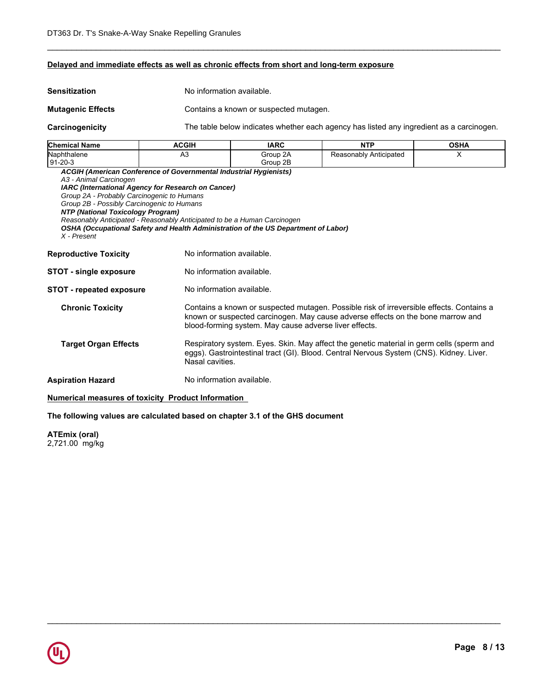## **Delayed and immediate effects as well as chronic effects from short and long-term exposure**

| <b>Sensitization</b>                                                                                                                                                   |                                                                                                                                                                                                                      | No information available.                                                                                                                                                                                                             |                        |          |  |  |  |
|------------------------------------------------------------------------------------------------------------------------------------------------------------------------|----------------------------------------------------------------------------------------------------------------------------------------------------------------------------------------------------------------------|---------------------------------------------------------------------------------------------------------------------------------------------------------------------------------------------------------------------------------------|------------------------|----------|--|--|--|
| <b>Mutagenic Effects</b>                                                                                                                                               |                                                                                                                                                                                                                      | Contains a known or suspected mutagen.<br>The table below indicates whether each agency has listed any ingredient as a carcinogen.                                                                                                    |                        |          |  |  |  |
| Carcinogenicity                                                                                                                                                        |                                                                                                                                                                                                                      |                                                                                                                                                                                                                                       |                        |          |  |  |  |
| <b>Chemical Name</b>                                                                                                                                                   | <b>ACGIH</b>                                                                                                                                                                                                         | <b>IARC</b><br><b>NTP</b><br><b>OSHA</b>                                                                                                                                                                                              |                        |          |  |  |  |
| Naphthalene<br>91-20-3                                                                                                                                                 | A <sub>3</sub>                                                                                                                                                                                                       | Group 2A<br>Group 2B                                                                                                                                                                                                                  | Reasonably Anticipated | $\times$ |  |  |  |
| A3 - Animal Carcinogen<br>Group 2A - Probably Carcinogenic to Humans<br>Group 2B - Possibly Carcinogenic to Humans<br>NTP (National Toxicology Program)<br>X - Present | IARC (International Agency for Research on Cancer)<br>Reasonably Anticipated - Reasonably Anticipated to be a Human Carcinogen<br>OSHA (Occupational Safety and Health Administration of the US Department of Labor) |                                                                                                                                                                                                                                       |                        |          |  |  |  |
| <b>Reproductive Toxicity</b>                                                                                                                                           |                                                                                                                                                                                                                      | No information available.                                                                                                                                                                                                             |                        |          |  |  |  |
| <b>STOT - single exposure</b>                                                                                                                                          |                                                                                                                                                                                                                      | No information available.                                                                                                                                                                                                             |                        |          |  |  |  |
| <b>STOT - repeated exposure</b>                                                                                                                                        |                                                                                                                                                                                                                      | No information available.                                                                                                                                                                                                             |                        |          |  |  |  |
| <b>Chronic Toxicity</b>                                                                                                                                                |                                                                                                                                                                                                                      | Contains a known or suspected mutagen. Possible risk of irreversible effects. Contains a<br>known or suspected carcinogen. May cause adverse effects on the bone marrow and<br>blood-forming system. May cause adverse liver effects. |                        |          |  |  |  |
| <b>Target Organ Effects</b>                                                                                                                                            |                                                                                                                                                                                                                      | Respiratory system. Eyes. Skin. May affect the genetic material in germ cells (sperm and<br>eggs). Gastrointestinal tract (GI). Blood. Central Nervous System (CNS). Kidney. Liver.<br>Nasal cavities.                                |                        |          |  |  |  |
| <b>Aspiration Hazard</b>                                                                                                                                               |                                                                                                                                                                                                                      | No information available.                                                                                                                                                                                                             |                        |          |  |  |  |
|                                                                                                                                                                        |                                                                                                                                                                                                                      |                                                                                                                                                                                                                                       |                        |          |  |  |  |

\_\_\_\_\_\_\_\_\_\_\_\_\_\_\_\_\_\_\_\_\_\_\_\_\_\_\_\_\_\_\_\_\_\_\_\_\_\_\_\_\_\_\_\_\_\_\_\_\_\_\_\_\_\_\_\_\_\_\_\_\_\_\_\_\_\_\_\_\_\_\_\_\_\_\_\_\_\_\_\_\_\_\_\_\_\_\_\_\_\_\_\_\_

\_\_\_\_\_\_\_\_\_\_\_\_\_\_\_\_\_\_\_\_\_\_\_\_\_\_\_\_\_\_\_\_\_\_\_\_\_\_\_\_\_\_\_\_\_\_\_\_\_\_\_\_\_\_\_\_\_\_\_\_\_\_\_\_\_\_\_\_\_\_\_\_\_\_\_\_\_\_\_\_\_\_\_\_\_\_\_\_\_\_\_\_\_

## **Numerical measures of toxicity Product Information**

## **The following values are calculated based on chapter 3.1 of the GHS document**

**ATEmix (oral)** 2,721.00 mg/kg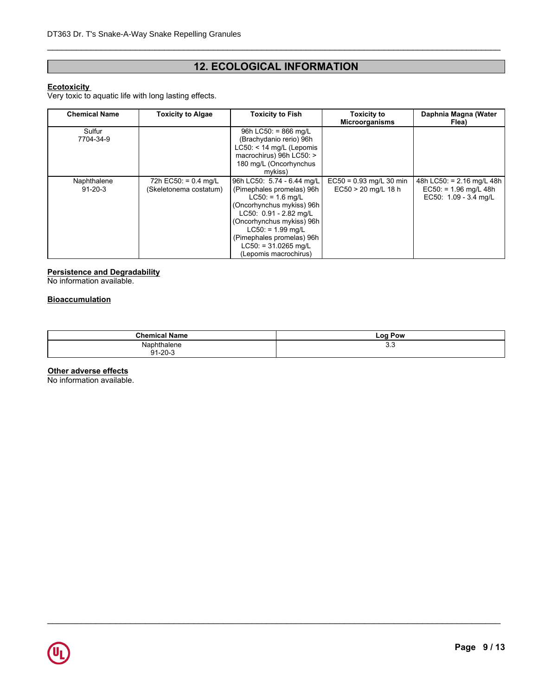## **12. ECOLOGICAL INFORMATION**

\_\_\_\_\_\_\_\_\_\_\_\_\_\_\_\_\_\_\_\_\_\_\_\_\_\_\_\_\_\_\_\_\_\_\_\_\_\_\_\_\_\_\_\_\_\_\_\_\_\_\_\_\_\_\_\_\_\_\_\_\_\_\_\_\_\_\_\_\_\_\_\_\_\_\_\_\_\_\_\_\_\_\_\_\_\_\_\_\_\_\_\_\_

## **Ecotoxicity**

Very toxic to aquatic life with long lasting effects.

| <b>Chemical Name</b>         | <b>Toxicity to Algae</b>                         | <b>Toxicity to Fish</b>                                                                                                                                                                                                                                                   | <b>Toxicity to</b><br><b>Microorganisms</b>        | Daphnia Magna (Water<br>Flea)                                                   |
|------------------------------|--------------------------------------------------|---------------------------------------------------------------------------------------------------------------------------------------------------------------------------------------------------------------------------------------------------------------------------|----------------------------------------------------|---------------------------------------------------------------------------------|
| Sulfur<br>7704-34-9          |                                                  | 96h LC50: = $866$ mg/L<br>(Brachydanio rerio) 96h<br>$LC50: < 14$ mg/L (Lepomis<br>macrochirus) 96h LC50: ><br>180 mg/L (Oncorhynchus<br>mykiss)                                                                                                                          |                                                    |                                                                                 |
| Naphthalene<br>$91 - 20 - 3$ | 72h EC50: = $0.4$ mg/L<br>(Skeletonema costatum) | 96h LC50: 5.74 - 6.44 mg/L<br>(Pimephales promelas) 96h<br>$LC50: = 1.6$ mg/L<br>(Oncorhynchus mykiss) 96h<br>LC50: 0.91 - 2.82 mg/L<br>(Oncorhynchus mykiss) 96h<br>$L C50: = 1.99$ mg/L<br>(Pimephales promelas) 96h<br>$LC50: = 31.0265$ mg/L<br>(Lepomis macrochirus) | $EC50 = 0.93$ mg/L 30 min<br>$EC50 > 20$ mg/L 18 h | 48h LC50: = $2.16$ mg/L 48h<br>$EC50: = 1.96$ mg/L 48h<br>EC50: 1.09 - 3.4 mg/L |

## **Persistence and Degradability**

No information available.

## **Bioaccumulation**

| <b>Chemical Name</b>          | Pow<br>LOO |
|-------------------------------|------------|
| Naphthalene<br>Q1.20.3<br>ั∠∪ | ບ.ບ        |

\_\_\_\_\_\_\_\_\_\_\_\_\_\_\_\_\_\_\_\_\_\_\_\_\_\_\_\_\_\_\_\_\_\_\_\_\_\_\_\_\_\_\_\_\_\_\_\_\_\_\_\_\_\_\_\_\_\_\_\_\_\_\_\_\_\_\_\_\_\_\_\_\_\_\_\_\_\_\_\_\_\_\_\_\_\_\_\_\_\_\_\_\_

## **Other adverse effects**

No information available.

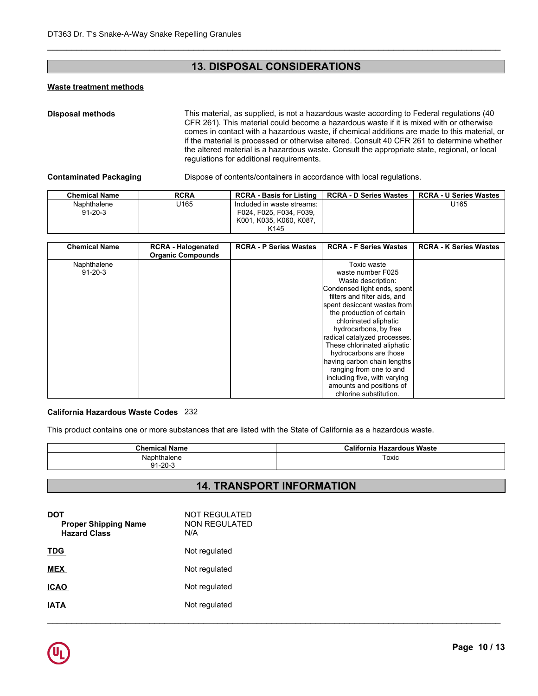## **13. DISPOSAL CONSIDERATIONS**

## **Waste treatment methods**

\_\_\_\_\_\_\_\_\_\_\_\_\_\_\_\_\_\_\_\_\_\_\_\_\_\_\_\_\_\_\_\_\_\_\_\_\_\_\_\_\_\_\_\_\_\_\_\_\_\_\_\_\_\_\_\_\_\_\_\_\_\_\_\_\_\_\_\_\_\_\_\_\_\_\_\_\_\_\_\_\_\_\_\_\_\_\_\_\_\_\_\_\_

| <b>Disposal methods</b><br>This material, as supplied, is not a hazardous waste according to Federal regulations (40<br>CFR 261). This material could become a hazardous waste if it is mixed with or otherwise<br>comes in contact with a hazardous waste, if chemical additions are made to this material, or<br>if the material is processed or otherwise altered. Consult 40 CFR 261 to determine whether<br>the altered material is a hazardous waste. Consult the appropriate state, regional, or local<br>regulations for additional requirements. |                  |                                                                                                      |                               |                               |
|-----------------------------------------------------------------------------------------------------------------------------------------------------------------------------------------------------------------------------------------------------------------------------------------------------------------------------------------------------------------------------------------------------------------------------------------------------------------------------------------------------------------------------------------------------------|------------------|------------------------------------------------------------------------------------------------------|-------------------------------|-------------------------------|
| <b>Contaminated Packaging</b>                                                                                                                                                                                                                                                                                                                                                                                                                                                                                                                             |                  | Dispose of contents/containers in accordance with local regulations.                                 |                               |                               |
| <b>Chemical Name</b>                                                                                                                                                                                                                                                                                                                                                                                                                                                                                                                                      | <b>RCRA</b>      | <b>RCRA - Basis for Listing</b>                                                                      | <b>RCRA - D Series Wastes</b> | <b>RCRA - U Series Wastes</b> |
| Naphthalene<br>$91 - 20 - 3$                                                                                                                                                                                                                                                                                                                                                                                                                                                                                                                              | U <sub>165</sub> | Included in waste streams:<br>F024, F025, F034, F039,<br>K001, K035, K060, K087,<br>K <sub>145</sub> |                               | U <sub>165</sub>              |

|                               |                                                       | regulations for additional requirements.                                                             | the altered material is a hazardous waste. Consult the appropriate state, regional, or local |                               |
|-------------------------------|-------------------------------------------------------|------------------------------------------------------------------------------------------------------|----------------------------------------------------------------------------------------------|-------------------------------|
| <b>Contaminated Packaging</b> |                                                       |                                                                                                      | Dispose of contents/containers in accordance with local regulations.                         |                               |
| <b>Chemical Name</b>          | <b>RCRA</b>                                           | <b>RCRA - Basis for Listing</b>                                                                      | <b>RCRA - D Series Wastes</b>                                                                | <b>RCRA - U Series Wastes</b> |
| Naphthalene<br>$91 - 20 - 3$  | U165                                                  | Included in waste streams:<br>F024, F025, F034, F039,<br>K001, K035, K060, K087,<br>K <sub>145</sub> |                                                                                              | U165                          |
|                               |                                                       |                                                                                                      |                                                                                              |                               |
| <b>Chemical Name</b>          | <b>RCRA - Halogenated</b><br><b>Organic Compounds</b> | <b>RCRA - P Series Wastes</b>                                                                        | <b>RCRA - F Series Wastes</b>                                                                | <b>RCRA - K Series Wastes</b> |
| Naphthalene                   |                                                       |                                                                                                      | Toxic waste                                                                                  |                               |
| $91 - 20 - 3$                 |                                                       |                                                                                                      | waste number F025                                                                            |                               |
|                               |                                                       |                                                                                                      | Waste description:                                                                           |                               |
|                               |                                                       |                                                                                                      | Condensed light ends, spent                                                                  |                               |
|                               |                                                       |                                                                                                      | filters and filter aids, and                                                                 |                               |
|                               |                                                       |                                                                                                      | spent desiccant wastes from                                                                  |                               |
|                               |                                                       |                                                                                                      | the production of certain                                                                    |                               |
|                               |                                                       |                                                                                                      | chlorinated aliphatic                                                                        |                               |
|                               |                                                       |                                                                                                      | hydrocarbons, by free<br>radical catalyzed processes.                                        |                               |
|                               |                                                       |                                                                                                      | These chlorinated aliphatic                                                                  |                               |
|                               |                                                       |                                                                                                      | hydrocarbons are those                                                                       |                               |
|                               |                                                       |                                                                                                      | having carbon chain lengths                                                                  |                               |
|                               |                                                       |                                                                                                      | ranging from one to and                                                                      |                               |
|                               |                                                       |                                                                                                      | including five, with varying                                                                 |                               |
|                               |                                                       |                                                                                                      | amounts and positions of                                                                     |                               |
|                               |                                                       |                                                                                                      | chlorine substitution.                                                                       |                               |

## **California Hazardous Waste Codes** 232

This product contains one or more substances that are listed with the State of California as a hazardous waste.

| Chemical<br>Name                  | Waste<br>$\sim$ $\sim$ $\sim$<br>California<br>Hazardous |
|-----------------------------------|----------------------------------------------------------|
| $\sim$ $\sim$<br>naiene<br>п<br>. | Toxic                                                    |
| -20-3<br>ດ 4                      |                                                          |

## **14. TRANSPORT INFORMATION**

| <u>DOT</u><br><b>Proper Shipping Name</b><br><b>Hazard Class</b> | NOT REGULATED<br>NON REGULATED<br>N/A |
|------------------------------------------------------------------|---------------------------------------|
| <b>TDG</b>                                                       | Not regulated                         |
| <b>MEX</b>                                                       | Not regulated                         |
| <b>ICAO</b>                                                      | Not regulated                         |
| <b>IATA</b>                                                      | Not regulated                         |
|                                                                  |                                       |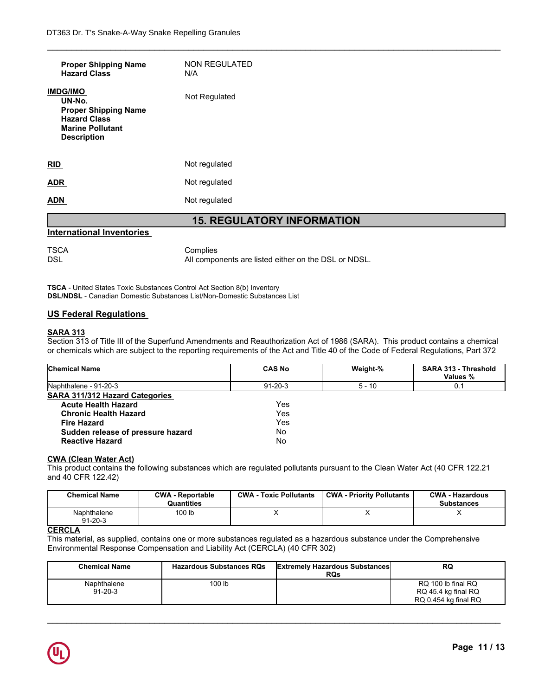| <b>Proper Shipping Name</b><br><b>Hazard Class</b>                                                                               | <b>NON REGULATED</b><br>N/A       |
|----------------------------------------------------------------------------------------------------------------------------------|-----------------------------------|
| <b>IMDG/IMO</b><br>UN-No.<br><b>Proper Shipping Name</b><br><b>Hazard Class</b><br><b>Marine Pollutant</b><br><b>Description</b> | Not Regulated                     |
| <b>RID</b>                                                                                                                       | Not regulated                     |
| <b>ADR</b>                                                                                                                       | Not regulated                     |
| <b>ADN</b>                                                                                                                       | Not regulated                     |
|                                                                                                                                  | <b>15. REGULATORY INFORMATION</b> |

## **International Inventories**

TSCA Complies<br>DSL All compo All components are listed either on the DSL or NDSL.

\_\_\_\_\_\_\_\_\_\_\_\_\_\_\_\_\_\_\_\_\_\_\_\_\_\_\_\_\_\_\_\_\_\_\_\_\_\_\_\_\_\_\_\_\_\_\_\_\_\_\_\_\_\_\_\_\_\_\_\_\_\_\_\_\_\_\_\_\_\_\_\_\_\_\_\_\_\_\_\_\_\_\_\_\_\_\_\_\_\_\_\_\_

**TSCA** - United States Toxic Substances Control Act Section 8(b) Inventory **DSL/NDSL** - Canadian Domestic Substances List/Non-Domestic Substances List

## **US Federal Regulations**

## **SARA 313**

Section 313 of Title III of the Superfund Amendments and Reauthorization Act of 1986 (SARA). This product contains a chemical or chemicals which are subject to the reporting requirements of the Act and Title 40 of the Code of Federal Regulations, Part 372

| <b>Chemical Name</b>                  |                                       | <b>CAS No</b>                 | Weight-%                                                                                                                     | <b>SARA 313 - Threshold</b><br>Values %     |
|---------------------------------------|---------------------------------------|-------------------------------|------------------------------------------------------------------------------------------------------------------------------|---------------------------------------------|
| Naphthalene - 91-20-3                 |                                       | $91 - 20 - 3$                 | $5 - 10$                                                                                                                     | 0.1                                         |
| <b>SARA 311/312 Hazard Categories</b> |                                       |                               |                                                                                                                              |                                             |
| <b>Acute Health Hazard</b>            |                                       | Yes                           |                                                                                                                              |                                             |
| <b>Chronic Health Hazard</b>          |                                       | Yes                           |                                                                                                                              |                                             |
| <b>Fire Hazard</b>                    |                                       | Yes                           |                                                                                                                              |                                             |
| Sudden release of pressure hazard     |                                       | No                            |                                                                                                                              |                                             |
| <b>Reactive Hazard</b>                |                                       | No                            |                                                                                                                              |                                             |
| <b>CWA (Clean Water Act)</b>          |                                       |                               |                                                                                                                              |                                             |
|                                       |                                       |                               | This product contains the following substances which are regulated pollutants pursuant to the Clean Water Act (40 CFR 122.21 |                                             |
| and 40 CFR 122.42)                    |                                       |                               |                                                                                                                              |                                             |
|                                       |                                       |                               |                                                                                                                              |                                             |
| <b>Chemical Name</b>                  | <b>CWA - Reportable</b><br>Quantities | <b>CWA - Toxic Pollutants</b> | <b>CWA - Priority Pollutants</b>                                                                                             | <b>CWA - Hazardous</b><br><b>Substances</b> |
| Naphthalene<br>$91 - 20 - 3$          | 100 lb                                | X                             | x                                                                                                                            | X                                           |
| <b>CERCLA</b>                         |                                       |                               |                                                                                                                              |                                             |

## **CWA (Clean Water Act)**

| <b>Chemical Name</b>         | <b>CWA - Reportable</b><br>Quantities | <b>CWA - Toxic Pollutants</b> | <b>CWA - Priority Pollutants</b> | <b>CWA - Hazardous</b><br><b>Substances</b> |
|------------------------------|---------------------------------------|-------------------------------|----------------------------------|---------------------------------------------|
| Naphthalene<br>$91 - 20 - 3$ | 100 lb                                |                               |                                  |                                             |

## **CERCLA**

| <b>Chemical Name</b>         | <b>CWA - Reportable</b><br><b>Quantities</b>                                | <b>CWA - Toxic Pollutants</b> | <b>CWA - Priority Pollutants</b>                    | <b>CWA - Hazardous</b><br><b>Substances</b>                                                                            |
|------------------------------|-----------------------------------------------------------------------------|-------------------------------|-----------------------------------------------------|------------------------------------------------------------------------------------------------------------------------|
| Naphthalene<br>$91 - 20 - 3$ | 100 lb                                                                      |                               | Χ                                                   |                                                                                                                        |
|                              |                                                                             |                               |                                                     |                                                                                                                        |
|                              | Environmental Response Compensation and Liability Act (CERCLA) (40 CFR 302) |                               |                                                     | This material, as supplied, contains one or more substances regulated as a hazardous substance under the Comprehensive |
| <b>Chemical Name</b>         | <b>Hazardous Substances RQs</b>                                             |                               | <b>Extremely Hazardous Substances</b><br><b>RQs</b> | <b>RQ</b>                                                                                                              |

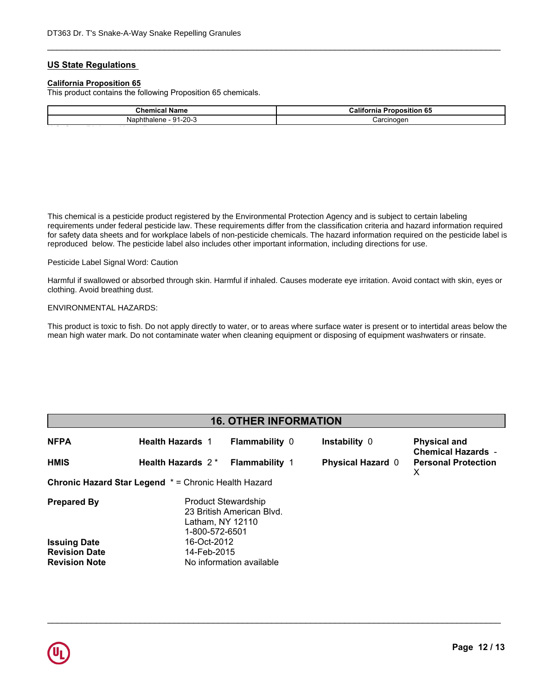## **US State Regulations**

## **California Proposition 65**

| <b>California Proposition 65</b><br><b>Chemical Name</b> |
|----------------------------------------------------------|
|                                                          |
| Naphthalene - 91-20-3<br>Carcinogen                      |

\_\_\_\_\_\_\_\_\_\_\_\_\_\_\_\_\_\_\_\_\_\_\_\_\_\_\_\_\_\_\_\_\_\_\_\_\_\_\_\_\_\_\_\_\_\_\_\_\_\_\_\_\_\_\_\_\_\_\_\_\_\_\_\_\_\_\_\_\_\_\_\_\_\_\_\_\_\_\_\_\_\_\_\_\_\_\_\_\_\_\_\_\_

This chemical is a pesticide product registered by the Environmental Protection Agency and is subject to certain labeling for safety data sheets and for workplace labels of non-pesticide chemicals. The hazard information required on the pesticide label is requirements under federal pesticide law. These requirements differ from the classification criteria and hazard information required reproduced below. The pesticide label also includes other important information, including directions for use.

## **Mexicolarized** Circuit Continued Pesticide Label Signal Word: Caution

**Component Component Component Component Component Component Component Component Component Component Component** Harmful if swallowed or absorbed through skin. Harmful if inhaled. Causes moderate eye irritation. Avoid contact with skin, eyes or<br>slathing, Avoid brastbing duat. clothing. Avoid breathing dust.

#### ENVIRONMENTAL HAZARDS:

**Canada** mean high water mark. Do not contaminate water when cleaning equipment or disposing of equipment washwaters or rinsate.This product is toxic to fish. Do not apply directly to water, or to areas where surface water is present or to intertidal areas below the

## **16. OTHER INFORMATION**

| <b>NFPA</b>          | <b>Health Hazards 1</b>                                          | <b>Flammability 0</b>     | Instability 0            | <b>Physical and</b><br><b>Chemical Hazards -</b> |
|----------------------|------------------------------------------------------------------|---------------------------|--------------------------|--------------------------------------------------|
| <b>HMIS</b>          | Health Hazards 2*                                                | <b>Flammability 1</b>     | <b>Physical Hazard 0</b> | <b>Personal Protection</b><br>X                  |
|                      | <b>Chronic Hazard Star Legend * = Chronic Health Hazard</b>      |                           |                          |                                                  |
| <b>Prepared By</b>   | <b>Product Stewardship</b><br>Latham, NY 12110<br>1-800-572-6501 | 23 British American Blvd. |                          |                                                  |
| <b>Issuing Date</b>  | 16-Oct-2012                                                      |                           |                          |                                                  |
| <b>Revision Date</b> | 14-Feb-2015                                                      |                           |                          |                                                  |
| <b>Revision Note</b> |                                                                  | No information available  |                          |                                                  |
|                      |                                                                  |                           |                          |                                                  |